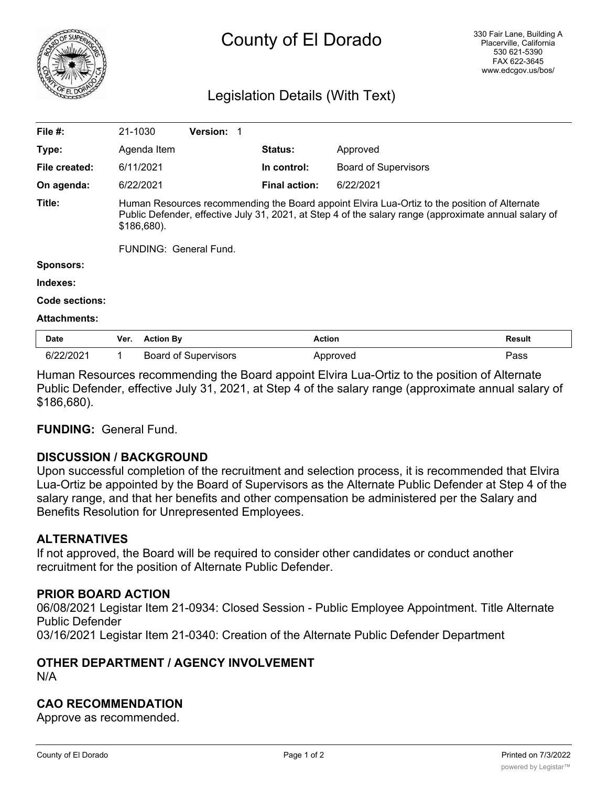

# County of El Dorado

### Legislation Details (With Text)

| File #:             | 21-1030                                                                                                                                                                                                                |                  | <b>Version:</b>             |                      |                             |               |
|---------------------|------------------------------------------------------------------------------------------------------------------------------------------------------------------------------------------------------------------------|------------------|-----------------------------|----------------------|-----------------------------|---------------|
| Type:               |                                                                                                                                                                                                                        | Agenda Item      |                             | <b>Status:</b>       | Approved                    |               |
| File created:       |                                                                                                                                                                                                                        | 6/11/2021        |                             | In control:          | <b>Board of Supervisors</b> |               |
| On agenda:          |                                                                                                                                                                                                                        | 6/22/2021        |                             | <b>Final action:</b> | 6/22/2021                   |               |
| Title:              | Human Resources recommending the Board appoint Elvira Lua-Ortiz to the position of Alternate<br>Public Defender, effective July 31, 2021, at Step 4 of the salary range (approximate annual salary of<br>$$186,680$ ). |                  |                             |                      |                             |               |
|                     | FUNDING: General Fund.                                                                                                                                                                                                 |                  |                             |                      |                             |               |
| <b>Sponsors:</b>    |                                                                                                                                                                                                                        |                  |                             |                      |                             |               |
| Indexes:            |                                                                                                                                                                                                                        |                  |                             |                      |                             |               |
| Code sections:      |                                                                                                                                                                                                                        |                  |                             |                      |                             |               |
| <b>Attachments:</b> |                                                                                                                                                                                                                        |                  |                             |                      |                             |               |
| <b>Date</b>         | Ver.                                                                                                                                                                                                                   | <b>Action By</b> |                             |                      | <b>Action</b>               | <b>Result</b> |
| 6/22/2021           | 1                                                                                                                                                                                                                      |                  | <b>Board of Supervisors</b> |                      | Approved                    | Pass          |

Human Resources recommending the Board appoint Elvira Lua-Ortiz to the position of Alternate Public Defender, effective July 31, 2021, at Step 4 of the salary range (approximate annual salary of \$186,680).

### **FUNDING:** General Fund.

### **DISCUSSION / BACKGROUND**

Upon successful completion of the recruitment and selection process, it is recommended that Elvira Lua-Ortiz be appointed by the Board of Supervisors as the Alternate Public Defender at Step 4 of the salary range, and that her benefits and other compensation be administered per the Salary and Benefits Resolution for Unrepresented Employees.

### **ALTERNATIVES**

If not approved, the Board will be required to consider other candidates or conduct another recruitment for the position of Alternate Public Defender.

### **PRIOR BOARD ACTION**

06/08/2021 Legistar Item 21-0934: Closed Session - Public Employee Appointment. Title Alternate Public Defender 03/16/2021 Legistar Item 21-0340: Creation of the Alternate Public Defender Department

## **OTHER DEPARTMENT / AGENCY INVOLVEMENT**

N/A

### **CAO RECOMMENDATION**

Approve as recommended.